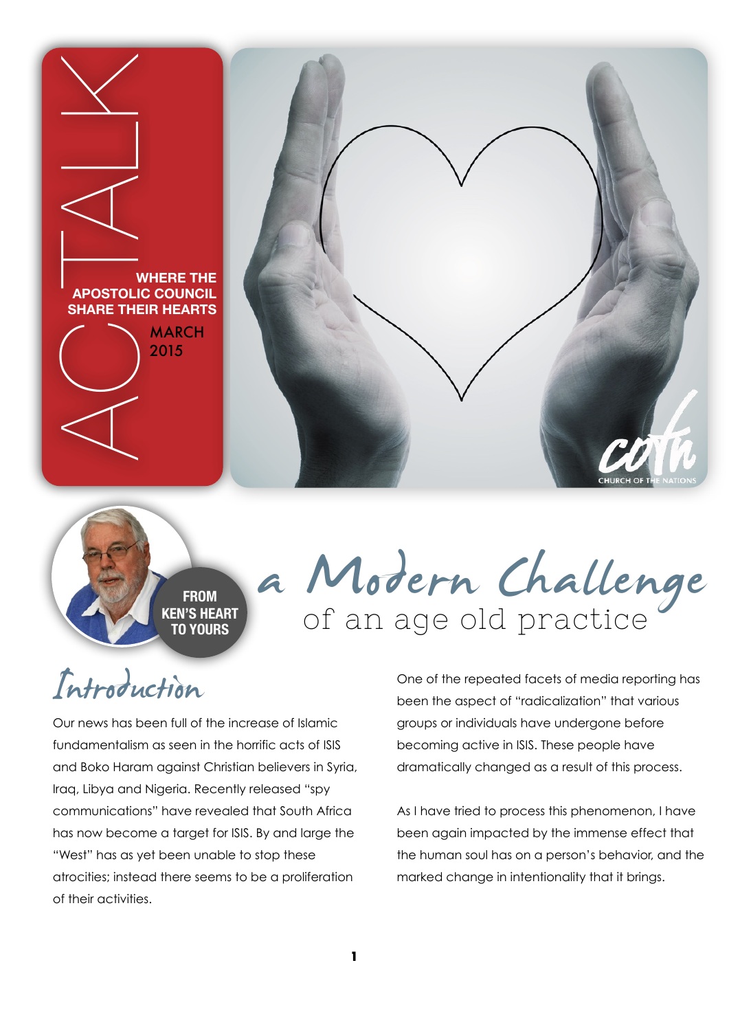

**FROM KEN'S HEART** 

## a Modern Challenge

## Introduction

Our news has been full of the increase of Islamic fundamentalism as seen in the horrific acts of ISIS and Boko Haram against Christian believers in Syria, Iraq, Libya and Nigeria. Recently released "spy communications" have revealed that South Africa has now become a target for ISIS. By and large the "West" has as yet been unable to stop these atrocities; instead there seems to be a proliferation of their activities.

One of the repeated facets of media reporting has been the aspect of "radicalization" that various groups or individuals have undergone before becoming active in ISIS. These people have dramatically changed as a result of this process.

As I have tried to process this phenomenon, I have been again impacted by the immense effect that the human soul has on a person's behavior, and the marked change in intentionality that it brings.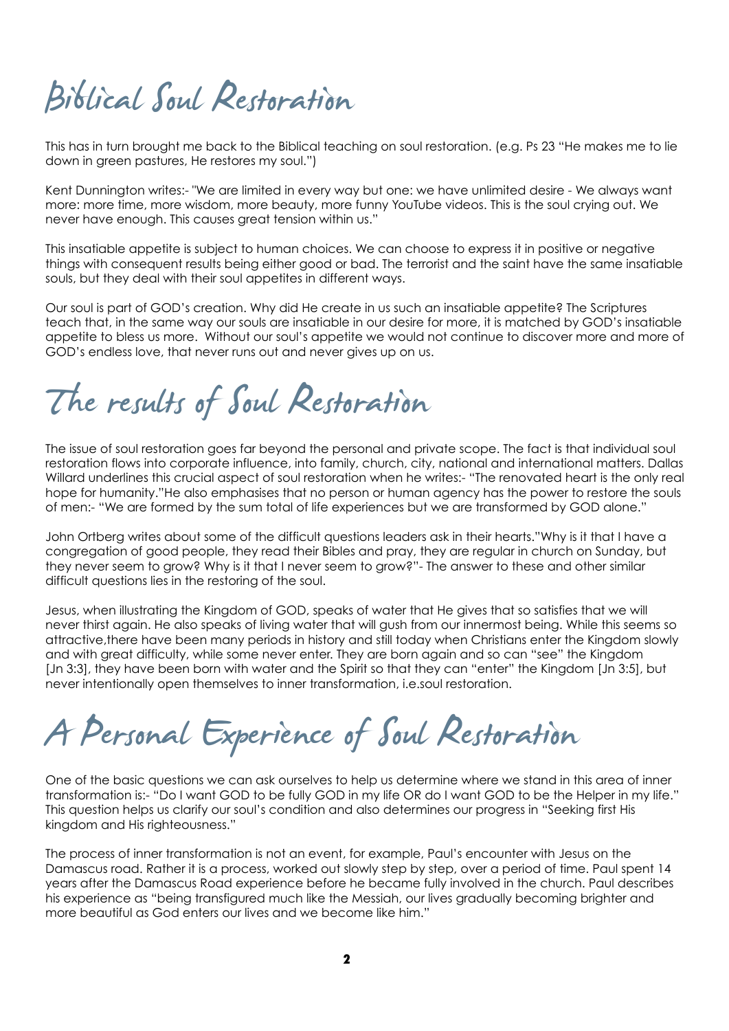## Biblical Soul Restoration

This has in turn brought me back to the Biblical teaching on soul restoration. (e.g. Ps 23 "He makes me to lie down in green pastures, He restores my soul.")

Kent Dunnington writes:- "We are limited in every way but one: we have unlimited desire - We always want more: more time, more wisdom, more beauty, more funny YouTube videos. This is the soul crying out. We never have enough. This causes great tension within us."

This insatiable appetite is subject to human choices. We can choose to express it in positive or negative things with consequent results being either good or bad. The terrorist and the saint have the same insatiable souls, but they deal with their soul appetites in different ways.

Our soul is part of GOD's creation. Why did He create in us such an insatiable appetite? The Scriptures teach that, in the same way our souls are insatiable in our desire for more, it is matched by GOD's insatiable appetite to bless us more. Without our soul's appetite we would not continue to discover more and more of GOD's endless love, that never runs out and never gives up on us.

The results of Soul Restoration

The issue of soul restoration goes far beyond the personal and private scope. The fact is that individual soul restoration flows into corporate influence, into family, church, city, national and international matters. Dallas Willard underlines this crucial aspect of soul restoration when he writes:- "The renovated heart is the only real hope for humanity."He also emphasises that no person or human agency has the power to restore the souls of men:- "We are formed by the sum total of life experiences but we are transformed by GOD alone."

John Ortberg writes about some of the difficult questions leaders ask in their hearts."Why is it that I have a congregation of good people, they read their Bibles and pray, they are regular in church on Sunday, but they never seem to grow? Why is it that I never seem to grow?"- The answer to these and other similar difficult questions lies in the restoring of the soul.

Jesus, when illustrating the Kingdom of GOD, speaks of water that He gives that so satisfies that we will never thirst again. He also speaks of living water that will gush from our innermost being. While this seems so attractive,there have been many periods in history and still today when Christians enter the Kingdom slowly and with great difficulty, while some never enter. They are born again and so can "see" the Kingdom [Jn 3:3], they have been born with water and the Spirit so that they can "enter" the Kingdom [Jn 3:5], but never intentionally open themselves to inner transformation, i.e.soul restoration.

A Personal Experience of Soul Restoration

One of the basic questions we can ask ourselves to help us determine where we stand in this area of inner transformation is:- "Do I want GOD to be fully GOD in my life OR do I want GOD to be the Helper in my life." This question helps us clarify our soul's condition and also determines our progress in "Seeking first His kingdom and His righteousness."

The process of inner transformation is not an event, for example, Paul's encounter with Jesus on the Damascus road. Rather it is a process, worked out slowly step by step, over a period of time. Paul spent 14 years after the Damascus Road experience before he became fully involved in the church. Paul describes his experience as "being transfigured much like the Messiah, our lives gradually becoming brighter and more beautiful as God enters our lives and we become like him."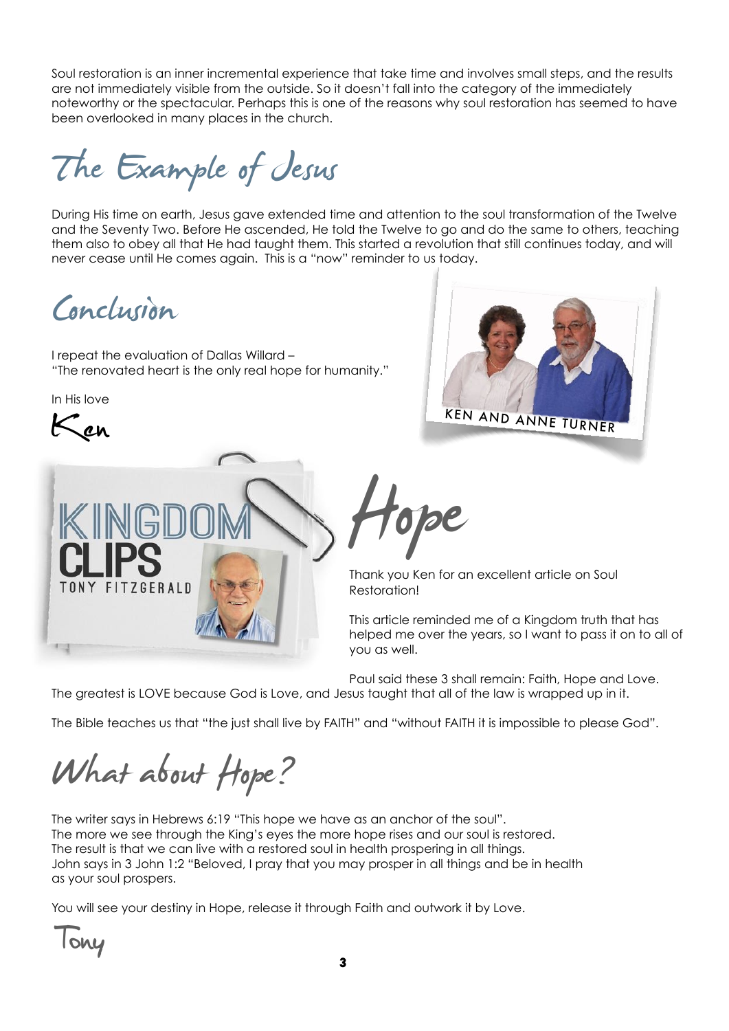Soul restoration is an inner incremental experience that take time and involves small steps, and the results are not immediately visible from the outside. So it doesn't fall into the category of the immediately noteworthy or the spectacular. Perhaps this is one of the reasons why soul restoration has seemed to have been overlooked in many places in the church.

The Example of Jesus

During His time on earth, Jesus gave extended time and attention to the soul transformation of the Twelve and the Seventy Two. Before He ascended, He told the Twelve to go and do the same to others, teaching them also to obey all that He had taught them. This started a revolution that still continues today, and will never cease until He comes again. This is a "now" reminder to us today.

Conclusion

I repeat the evaluation of Dallas Willard – "The renovated heart is the only real hope for humanity."

In His love







Frank you Ken for an excellent article on Soul

Restoration!

This article reminded me of a Kingdom truth that has helped me over the years, so I want to pass it on to all of you as well.

Paul said these 3 shall remain: Faith, Hope and Love. The greatest is LOVE because God is Love, and Jesus taught that all of the law is wrapped up in it.

The Bible teaches us that "the just shall live by FAITH" and "without FAITH it is impossible to please God".

What about Hope?

The writer says in Hebrews 6:19 "This hope we have as an anchor of the soul". The more we see through the King's eyes the more hope rises and our soul is restored. The result is that we can live with a restored soul in health prospering in all things. John says in 3 John 1:2 "Beloved, I pray that you may prosper in all things and be in health as your soul prospers.

You will see your destiny in Hope, release it through Faith and outwork it by Love.